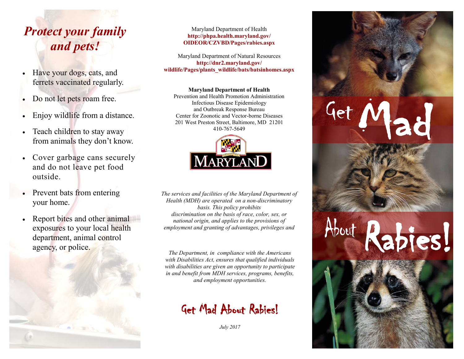# *Protect your family and pets!*

- Have your dogs, cats, and ferrets vaccinated regularly.
- Do not let pets roam free.
- Enjoy wildlife from a distance.
- Teach children to stay away from animals they don't know.
- Cover garbage cans securely and do not leave pet food outside.
- Prevent bats from entering your home.
- Report bites and other animal exposures to your local health department, animal control agency, or police.



#### Maryland Department of Health **http://phpa.health.maryland.gov/ OIDEOR/CZVBD/Pages/rabies.aspx**

Maryland Department of Natural Resources **http://dnr2.maryland.gov/ wildlife/Pages/plants\_wildlife/bats/batsinhomes.aspx**

**Maryland Department of Health**

Prevention and Health Promotion Administration Infectious Disease Epidemiology and Outbreak Response Bureau Center for Zoonotic and Vector-borne Diseases 201 West Preston Street, Baltimore, MD 21201 410-767-5649

**Get**

About Rabies!



*The services and facilities of the Maryland Department of Health (MDH) are operated on a non-discriminatory basis. This policy prohibits discrimination on the basis of race, color, sex, or national origin, and applies to the provisions of employment and granting of advantages, privileges and* 

*The Department, in compliance with the Americans with Disabilities Act, ensures that qualified individuals with disabilities are given an opportunity to participate in and benefit from MDH services, programs, benefits, and employment opportunities.* 

## **Get Mad About Rabies!**

*July 2017*